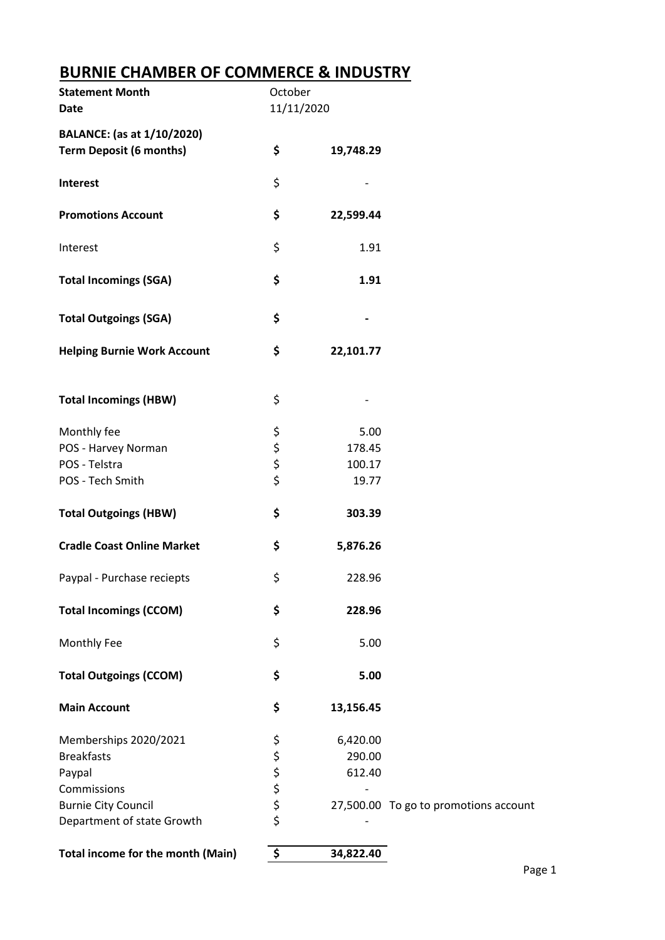## **BURNIE CHAMBER OF COMMERCE & INDUSTRY**

| <b>Statement Month</b><br><b>Date</b> | October<br>11/11/2020 |           |                                       |
|---------------------------------------|-----------------------|-----------|---------------------------------------|
| <b>BALANCE:</b> (as at 1/10/2020)     |                       |           |                                       |
| <b>Term Deposit (6 months)</b>        | \$                    | 19,748.29 |                                       |
| Interest                              | \$                    |           |                                       |
| <b>Promotions Account</b>             | \$                    | 22,599.44 |                                       |
| Interest                              | \$                    | 1.91      |                                       |
| <b>Total Incomings (SGA)</b>          | \$                    | 1.91      |                                       |
| <b>Total Outgoings (SGA)</b>          | \$                    |           |                                       |
| <b>Helping Burnie Work Account</b>    | \$                    | 22,101.77 |                                       |
| <b>Total Incomings (HBW)</b>          | \$                    |           |                                       |
| Monthly fee                           | \$                    | 5.00      |                                       |
| POS - Harvey Norman                   |                       | 178.45    |                                       |
| POS - Telstra                         | \$<br>\$              | 100.17    |                                       |
| POS - Tech Smith                      | \$                    | 19.77     |                                       |
| <b>Total Outgoings (HBW)</b>          | \$                    | 303.39    |                                       |
| <b>Cradle Coast Online Market</b>     | \$                    | 5,876.26  |                                       |
| Paypal - Purchase reciepts            | \$                    | 228.96    |                                       |
| <b>Total Incomings (CCOM)</b>         | \$                    | 228.96    |                                       |
| Monthly Fee                           | \$                    | 5.00      |                                       |
| <b>Total Outgoings (CCOM)</b>         | \$                    | 5.00      |                                       |
| <b>Main Account</b>                   | \$                    | 13,156.45 |                                       |
| Memberships 2020/2021                 | \$                    | 6,420.00  |                                       |
| <b>Breakfasts</b>                     |                       | 290.00    |                                       |
| Paypal                                | ぐぐな                   | 612.40    |                                       |
| Commissions                           |                       |           |                                       |
| <b>Burnie City Council</b>            |                       |           | 27,500.00 To go to promotions account |
| Department of state Growth            |                       |           |                                       |
| Total income for the month (Main)     | \$                    | 34,822.40 |                                       |
|                                       |                       |           |                                       |